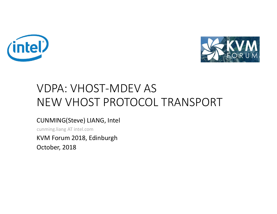



## VDPA: VHOST-MDEV AS NEW VHOST PROTOCOL TRANSPORT

#### CUNMING(Steve) LIANG, Intel

cunming.liang AT intel.com

KVM Forum 2018, Edinburgh

October, 2018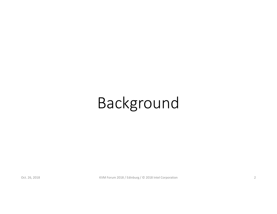# Background

Oct. 26, 2018 Contract Contract Contract Contract Contract Contract Contract Contract Contract Contract Contract Contract Contract Contract Contract Contract Contract Contract Contract Contract Contract Contract Contract C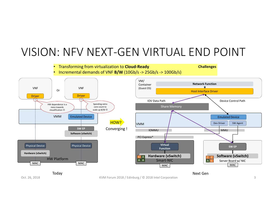## VISION: NFV NEXT-GEN VIRTUAL END POINT

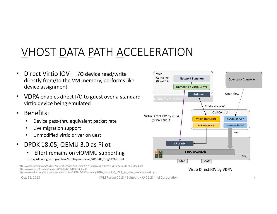## VHOST DATA PATH ACCELERATION

- Direct Virtio IOV I/O device read/write directly from/to the VM memory, performs like device assignment
- VDPA enables direct I/O to guest over a standard virtio device being emulated
- Benefits:
	- Device pass-thru equivalent packet rate
	- Live migration support
	- Unmodified virtio driver on uest
- DPDK 18.05, QEMU 3.0 as Pilot
	- Effort remains on vIOMMU supporting

http://lists.nongnu.org/archive/html/qemu-devel/2018-09/msg02216.html

https://dpdksummit.com/Archive/pdf/2017Asia/DPDK-China2017-LiangWang-A-Better-Virtio-towards-NFV-Cloud.pdf https://www.linux-kvm.org/images/8/87/KVM17vDPA-v4\_0.pdf

https://www.dpdk.org/wp-content/uploads/sites/35/2018/09/xiao-wang-DPDK\_Summit18\_vDPA\_for\_vhost\_acceleration-v4.pptx

Oct. 26, 2018 **Same Contract Automobile Contract Automobile Contract Automobile Automobile Automobile Automobile A** 



Virtio Direct IOV by VDPA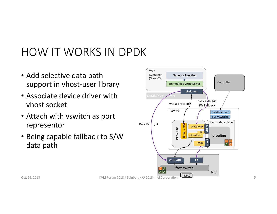## HOW IT WORKS IN DPDK

- Add selective data path support in vhost-user library
- Associate device driver with vhost socket
- Attach with vswitch as port representor
- Being capable fallback to S/W data path



Oct. 26, 2018 KVM Forum 2018 / Edinburg / © 2018 Intel Corporation 5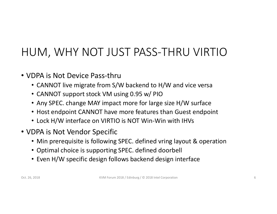## HUM, WHY NOT JUST PASS-THRU VIRTIO

- VDPA is Not Device Pass-thru
	- CANNOT live migrate from S/W backend to H/W and vice versa
	- CANNOT support stock VM using 0.95 w/ PIO
	- Any SPEC. change MAY impact more for large size H/W surface
	- Host endpoint CANNOT have more features than Guest endpoint
	- Lock H/W interface on VIRTIO is NOT Win-Win with IHVs
- VDPA is Not Vendor Specific
	- Min prerequisite is following SPEC. defined vring layout & operation
	- Optimal choice is supporting SPEC. defined doorbell
	- Even H/W specific design follows backend design interface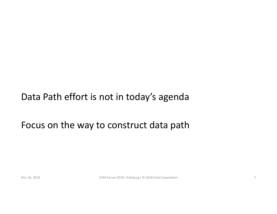### Data Path effort is not in today's agenda

### Focus on the way to construct data path

Oct. 26, 2018 **Same Contract Automobile Contract Automobile Contract Automobile Contract Automobile Contract Automobile Contract Automobile Contract Automobile Contract Automobile Contract Automobile Contract Automobile Co**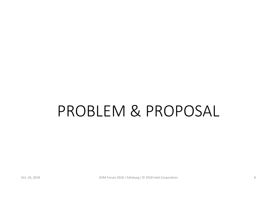# PROBLEM & PROPOSAL

Oct. 26, 2018 Contract Contract Contract Contract Contract Contract Contract Contract Contract Contract Contract Contract Contract Contract Contract Contract Contract Contract Contract Contract Contract Contract Contract C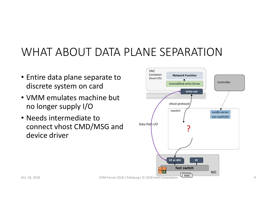## WHAT ABOUT DATA PLANE SEPARATION

- Entire data plane separate to discrete system on card
- VMM emulates machine but no longer supply I/O
- Needs intermediate to connect vhost CMD/MSG and device driver



Oct. 26, 2018 **Example 2018** KVM Forum 2018 / Edinburg / © 2018 Intel Corporation Proportion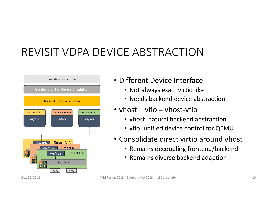## REVISIT VDPA DEVICE ABSTRACTION



### • Different Device Interface

- Not always exact virtio like
- Needs backend device abstraction
- vhost + vfio = vhost-vfio
	- vhost: natural backend abstraction
	- vfio: unified device control for QEMU
- Consolidate direct virtio around vhost
	- Remains decoupling frontend/backend
	- Remains diverse backend adaption

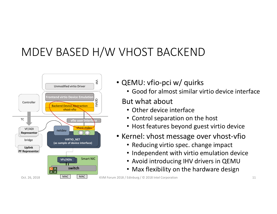## MDEV BASED H/W VHOST BACKEND



- QEMU: vfio-pci w/ quirks
	- Good for almost similar virtio device interface

### But what about

- Other device interface
- Control separation on the host
- Host features beyond guest virtio device
- Kernel: vhost message over vhost-vfio
	- Reducing virtio spec. change impact
	- Independent with virtio emulation device
	- Avoid introducing IHV drivers in QEMU
	- Max flexibility on the hardware design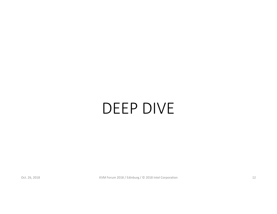# DEEP DIVE

Oct. 26, 2018 **KVM Forum 2018 / Edinburg / © 2018 Intel Corporation** 12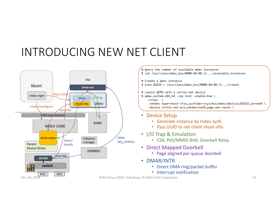## INTRODUCING NEW NET CLIENT

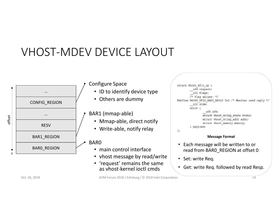## VHOST-MDEV DEVICE LAYOUT



Oct. 26, 2018 **State 2018** KVM Forum 2018 / Edinburg / © 2018 Intel Corporation **14** And 2018 **Conserversion** 14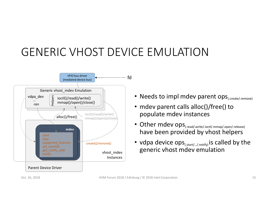## GENERIC VHOST DEVICE EMULATION



- Needs to impl mdev parent ops<sub>(.create/.remove)</sub>
- mdev parent calls alloc()/free() to populate mdev instances
- Other mdev ops<sub>(.read/.write/.ioctl/.mmap/.open/.release)</sub> have been provided by vhost helpers
- vdpa device  $ops_{(start,\dots/notify)}$  is called by the generic vhost mdev emulation

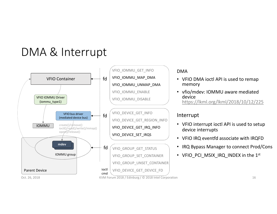## DMA & Interrupt



#### DMA

- VFIO DMA ioctl API is used to remap memory
- vfio/mdev: IOMMU aware mediated device https://lkml.org/lkml/2018/10/12/225

#### Interrupt

- VFIO interrupt ioctl API is used to setup device interrupts
- VFIO IRQ eventfd associate with IRQFD
- IRQ Bypass Manager to connect Prod/Cons
- VFIO PCI MSIX IRQ INDEX in the 1st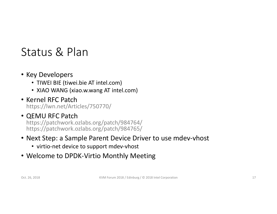## Status & Plan

- Key Developers
	- TIWEI BIE (tiwei.bie AT intel.com)
	- XIAO WANG (xiao.w.wang AT intel.com)
- Kernel RFC Patch https://lwn.net/Articles/750770/

#### • QEMU RFC Patch https://patchwork.ozlabs.org/patch/984764/ https://patchwork.ozlabs.org/patch/984765/

#### • Next Step: a Sample Parent Device Driver to use mdev-vhost

- virtio-net device to support mdev-vhost
- Welcome to DPDK-Virtio Monthly Meeting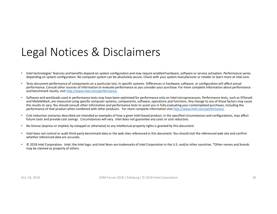## Legal Notices & Disclaimers

- Intel technologies' features and benefits depend on system configuration and may require enabled hardware, software or service activation. Performance varies depending on system configuration. No computer system can be absolutely secure. Check with your system manufacturer or retailer or learn more at intel.com.
- Tests document performance of components on a particular test, in specific systems. Differences in hardware, software, or configuration will affect actual performance. Consult other sources of information to evaluate performance as you consider your purchase. For more complete information about performance and benchmark results, visit http://www.intel.com/performance.
- Software and workloads used in performance tests may have been optimized for performance only on Intel microprocessors. Performance tests, such as SYSmark and MobileMark, are measured using specific computer systems, components, software, operations and functions. Any change to any of those factors may cause the results to vary. You should consult other information and performance tests to assist you in fully evaluating your contemplated purchases, including the performance of that product when combined with other products. For more complete information visit http://www.intel.com/performance.
- Cost reduction scenarios described are intended as examples of how a given Intel-based product, in the specified circumstances and configurations, may affect future costs and provide cost savings. Circumstances will vary. Intel does not guarantee any costs or cost reduction.
- No license (express or implied, by estoppel or otherwise) to any intellectual property rights is granted by this document.
- Intel does not control or audit third-party benchmark data or the web sites referenced in this document. You should visit the referenced web site and confirm whether referenced data are accurate.
- © 2018 Intel Corporation. Intel, the Intel logo, and Intel Xeon are trademarks of Intel Corporation in the U.S. and/or other countries. \*Other names and brands may be claimed as property of others.

Oct. 26, 2018 Contract Contract Contract Contract Contract Contract Contract Contract Contract Contract Contract Contract Contract Contract Contract Contract Contract Contract Contract Contract Contract Contract Contract C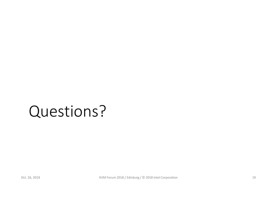## Questions?

Oct. 26, 2018 **KVM Forum 2018 / Edinburg / © 2018 Intel Corporation** 19